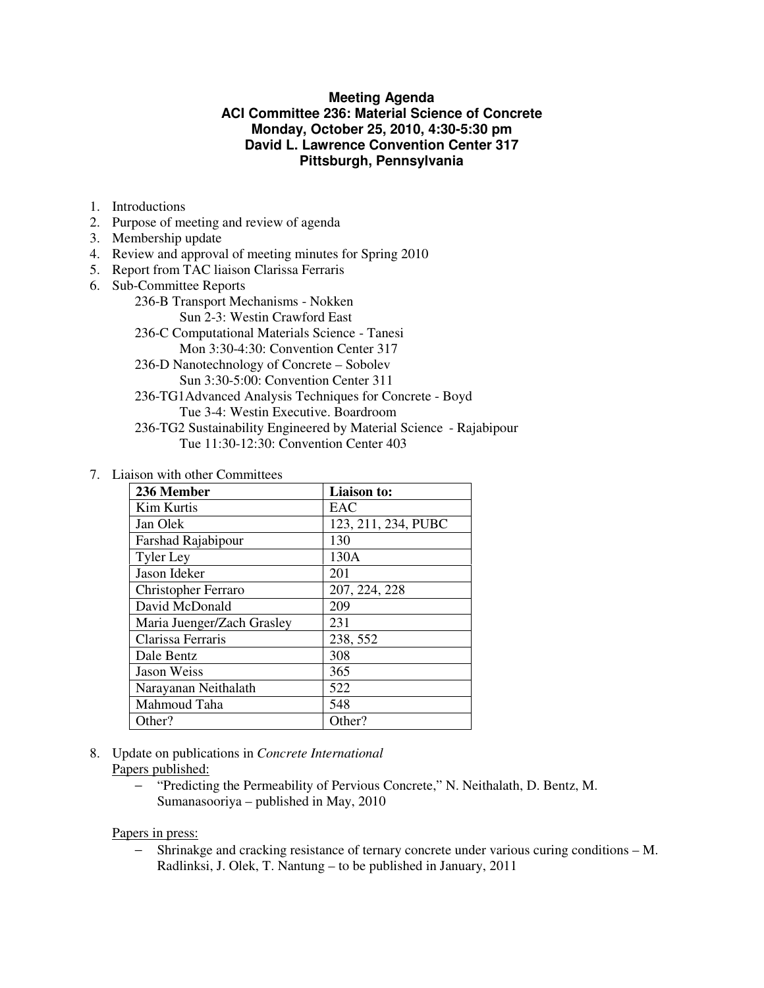### **Meeting Agenda ACI Committee 236: Material Science of Concrete Monday, October 25, 2010, 4:30-5:30 pm David L. Lawrence Convention Center 317 Pittsburgh, Pennsylvania**

- 1. Introductions
- 2. Purpose of meeting and review of agenda
- 3. Membership update
- 4. Review and approval of meeting minutes for Spring 2010
- 5. Report from TAC liaison Clarissa Ferraris
- 6. Sub-Committee Reports
	- 236-B Transport Mechanisms Nokken
		- Sun 2-3: Westin Crawford East
	- 236-C Computational Materials Science Tanesi Mon 3:30-4:30: Convention Center 317
	- 236-D Nanotechnology of Concrete Sobolev
		- Sun 3:30-5:00: Convention Center 311
	- 236-TG1Advanced Analysis Techniques for Concrete Boyd Tue 3-4: Westin Executive. Boardroom
	- 236-TG2 Sustainability Engineered by Material Science Rajabipour Tue 11:30-12:30: Convention Center 403
- 7. Liaison with other Committees

| 236 Member                 | Liaison to:         |
|----------------------------|---------------------|
| <b>Kim Kurtis</b>          | EAC                 |
| Jan Olek                   | 123, 211, 234, PUBC |
| Farshad Rajabipour         | 130                 |
| <b>Tyler Ley</b>           | 130A                |
| Jason Ideker               | 201                 |
| Christopher Ferraro        | 207, 224, 228       |
| David McDonald             | 209                 |
| Maria Juenger/Zach Grasley | 231                 |
| Clarissa Ferraris          | 238, 552            |
| Dale Bentz                 | 308                 |
| Jason Weiss                | 365                 |
| Narayanan Neithalath       | 522                 |
| Mahmoud Taha               | 548                 |
| Other?                     | Other?              |

- 8. Update on publications in *Concrete International* Papers published:
	- − "Predicting the Permeability of Pervious Concrete," N. Neithalath, D. Bentz, M. Sumanasooriya – published in May, 2010

Papers in press:

− Shrinakge and cracking resistance of ternary concrete under various curing conditions – M. Radlinksi, J. Olek, T. Nantung – to be published in January, 2011